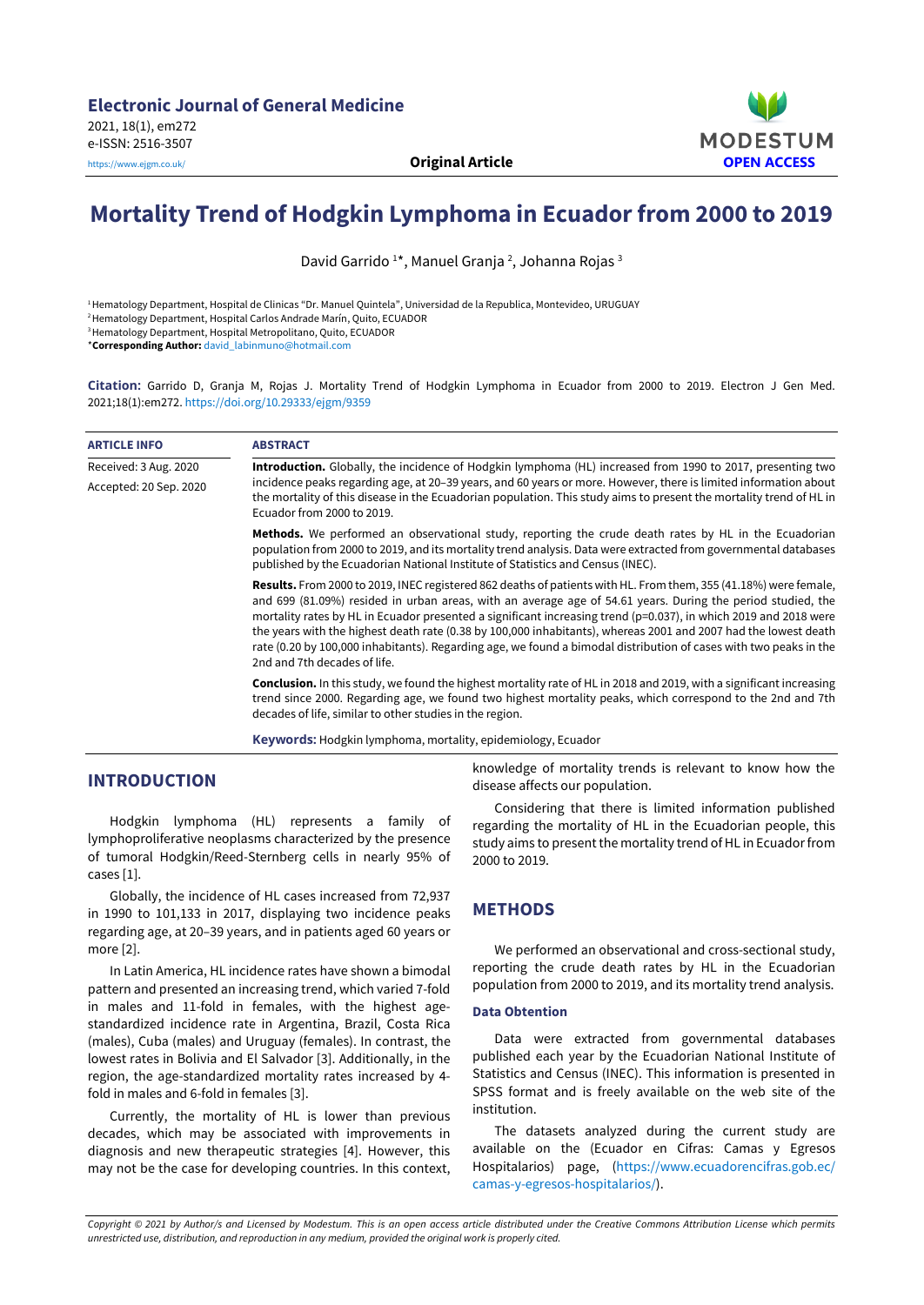

# **Mortality Trend of Hodgkin Lymphoma in Ecuador from 2000 to 2019**

David Garrido <sup>1</sup>\*, Manuel Granja <sup>2</sup>, Johanna Rojas <sup>3</sup>

1Hematology Department, Hospital de Clinicas "Dr. Manuel Quintela", Universidad de la Republica, Montevideo, URUGUAY

2Hematology Department, Hospital Carlos Andrade Marín, Quito, ECUADOR

<sup>3</sup> Hematology Department, Hospital Metropolitano, Quito, ECUADOR

\***Corresponding Author:** [david\\_labinmuno@hotmail.com](mailto:david_labinmuno@hotmail.com)

**Citation:** Garrido D, Granja M, Rojas J. Mortality Trend of Hodgkin Lymphoma in Ecuador from 2000 to 2019. Electron J Gen Med. 2021;18(1):em272. <https://doi.org/10.29333/ejgm/9359>

| <b>ARTICLE INFO</b>    | <b>ABSTRACT</b>                                                                                                                                                                                                                                                                                                                                                                                                                                                                                                                                                                                                             |
|------------------------|-----------------------------------------------------------------------------------------------------------------------------------------------------------------------------------------------------------------------------------------------------------------------------------------------------------------------------------------------------------------------------------------------------------------------------------------------------------------------------------------------------------------------------------------------------------------------------------------------------------------------------|
| Received: 3 Aug. 2020  | Introduction. Globally, the incidence of Hodgkin lymphoma (HL) increased from 1990 to 2017, presenting two                                                                                                                                                                                                                                                                                                                                                                                                                                                                                                                  |
| Accepted: 20 Sep. 2020 | incidence peaks regarding age, at 20-39 years, and 60 years or more. However, there is limited information about<br>the mortality of this disease in the Ecuadorian population. This study aims to present the mortality trend of HL in<br>Ecuador from 2000 to 2019.                                                                                                                                                                                                                                                                                                                                                       |
|                        | Methods. We performed an observational study, reporting the crude death rates by HL in the Ecuadorian<br>population from 2000 to 2019, and its mortality trend analysis. Data were extracted from governmental databases<br>published by the Ecuadorian National Institute of Statistics and Census (INEC).                                                                                                                                                                                                                                                                                                                 |
|                        | Results. From 2000 to 2019, INEC registered 862 deaths of patients with HL. From them, 355 (41.18%) were female,<br>and 699 (81.09%) resided in urban areas, with an average age of 54.61 years. During the period studied, the<br>mortality rates by HL in Ecuador presented a significant increasing trend (p=0.037), in which 2019 and 2018 were<br>the years with the highest death rate (0.38 by 100,000 inhabitants), whereas 2001 and 2007 had the lowest death<br>rate (0.20 by 100,000 inhabitants). Regarding age, we found a bimodal distribution of cases with two peaks in the<br>2nd and 7th decades of life. |
|                        | <b>Conclusion.</b> In this study, we found the highest mortality rate of HL in 2018 and 2019, with a significant increasing<br>trend since 2000. Regarding age, we found two highest mortality peaks, which correspond to the 2nd and 7th<br>decades of life, similar to other studies in the region.                                                                                                                                                                                                                                                                                                                       |
|                        | <b>Keywords:</b> Hodgkin lymphoma, mortality, epidemiology, Ecuador                                                                                                                                                                                                                                                                                                                                                                                                                                                                                                                                                         |

## **INTRODUCTION**

Hodgkin lymphoma (HL) represents a family of lymphoproliferative neoplasms characterized by the presence of tumoral Hodgkin/Reed-Sternberg cells in nearly 95% of cases [1].

Globally, the incidence of HL cases increased from 72,937 in 1990 to 101,133 in 2017, displaying two incidence peaks regarding age, at 20–39 years, and in patients aged 60 years or more [2].

In Latin America, HL incidence rates have shown a bimodal pattern and presented an increasing trend, which varied 7-fold in males and 11-fold in females, with the highest agestandardized incidence rate in Argentina, Brazil, Costa Rica (males), Cuba (males) and Uruguay (females). In contrast, the lowest rates in Bolivia and El Salvador [3]. Additionally, in the region, the age-standardized mortality rates increased by 4 fold in males and 6-fold in females [3].

Currently, the mortality of HL is lower than previous decades, which may be associated with improvements in diagnosis and new therapeutic strategies [4]. However, this may not be the case for developing countries. In this context, knowledge of mortality trends is relevant to know how the disease affects our population.

Considering that there is limited information published regarding the mortality of HL in the Ecuadorian people, this study aims to present the mortality trend of HL in Ecuador from 2000 to 2019.

## **METHODS**

We performed an observational and cross-sectional study, reporting the crude death rates by HL in the Ecuadorian population from 2000 to 2019, and its mortality trend analysis.

#### **Data Obtention**

Data were extracted from governmental databases published each year by the Ecuadorian National Institute of Statistics and Census (INEC). This information is presented in SPSS format and is freely available on the web site of the institution.

The datasets analyzed during the current study are available on the (Ecuador en Cifras: Camas y Egresos Hospitalarios) page, [\(https://www.ecuadorencifras.gob.ec/](https://www.ecuadorencifras.gob.ec/camas-y-egresos-hospitalarios/) [camas-y-egresos-hospitalarios/\)](https://www.ecuadorencifras.gob.ec/camas-y-egresos-hospitalarios/).

Copyright © 2021 by Author/s and Licensed by Modestum. This is an open access article distributed under the Creative Commons Attribution License which permits *unrestricted use, distribution, and reproduction in any medium, provided the original work is properly cited.*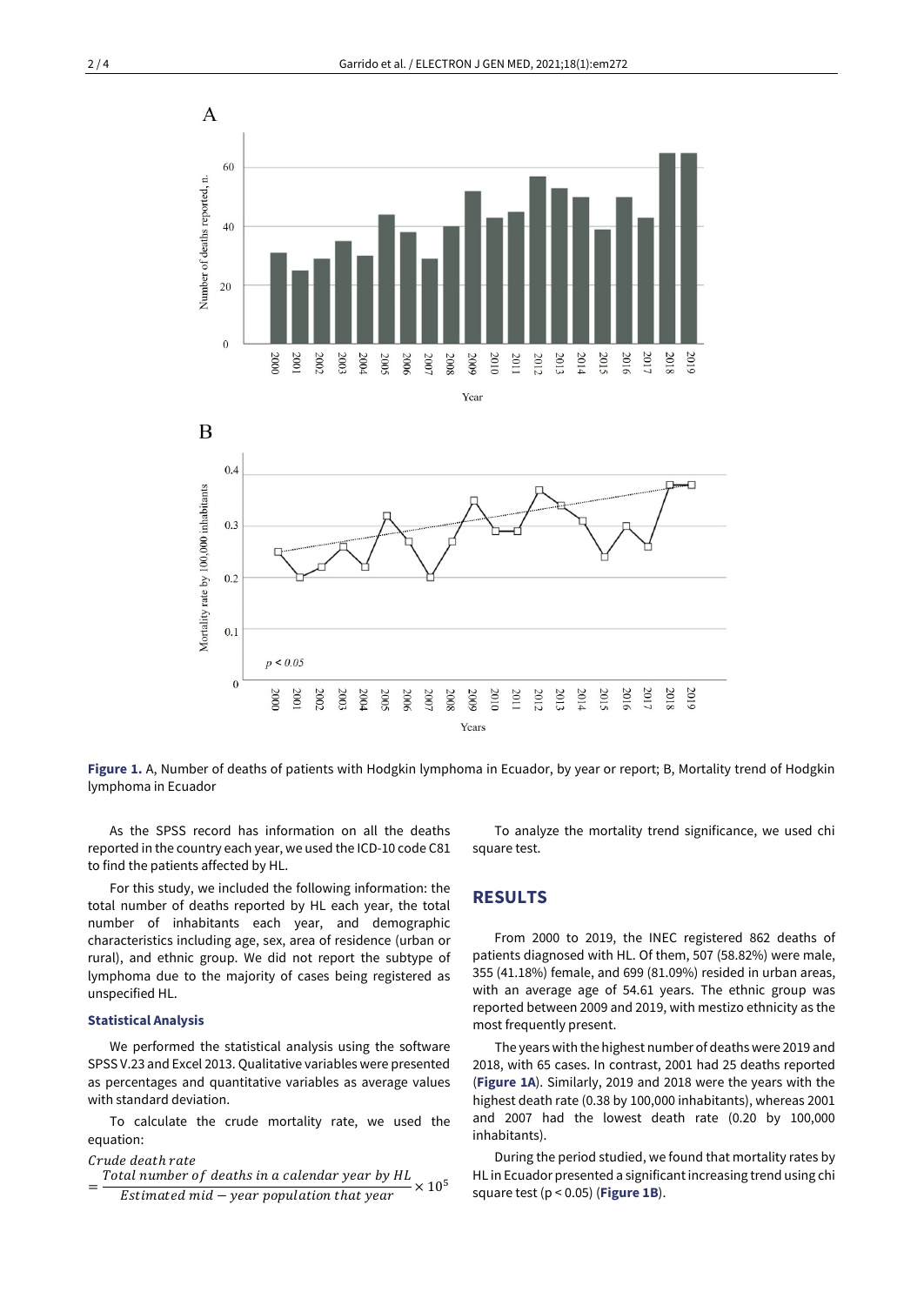

Mortality rate by 100,000 inhabitants  $0.3$  $0.2$  $0.1$  $p < 0.05$  $\boldsymbol{0}$ 2017 2000 2001 2002 2003 2004  $5002$ 2006 2007 2008 5009 2010 2011 2012 2013 2014 2015 2016 2018 2019 Years

**Figure 1.** A, Number of deaths of patients with Hodgkin lymphoma in Ecuador, by year or report; B, Mortality trend of Hodgkin lymphoma in Ecuador

As the SPSS record has information on all the deaths reported in the country each year, we used the ICD-10 code C81 to find the patients affected by HL.

For this study, we included the following information: the total number of deaths reported by HL each year, the total number of inhabitants each year, and demographic characteristics including age, sex, area of residence (urban or rural), and ethnic group. We did not report the subtype of lymphoma due to the majority of cases being registered as unspecified HL.

#### **Statistical Analysis**

We performed the statistical analysis using the software SPSS V.23 and Excel 2013. Qualitative variables were presented as percentages and quantitative variables as average values with standard deviation.

To calculate the crude mortality rate, we used the equation:

#### Crude death rate

Total number of deaths in a calendar year by HL  $Estimated$   $mid - year$   $population$  that  $year$  $\times$  10<sup>5</sup>

To analyze the mortality trend significance, we used chi square test.

#### **RESULTS**

From 2000 to 2019, the INEC registered 862 deaths of patients diagnosed with HL. Of them, 507 (58.82%) were male, 355 (41.18%) female, and 699 (81.09%) resided in urban areas, with an average age of 54.61 years. The ethnic group was reported between 2009 and 2019, with mestizo ethnicity as the most frequently present.

The years with the highest number of deaths were 2019 and 2018, with 65 cases. In contrast, 2001 had 25 deaths reported (**Figure 1A**). Similarly, 2019 and 2018 were the years with the highest death rate (0.38 by 100,000 inhabitants), whereas 2001 and 2007 had the lowest death rate (0.20 by 100,000 inhabitants).

During the period studied, we found that mortality rates by HL in Ecuador presented a significantincreasing trend using chi square test (p < 0.05) (**Figure 1B**).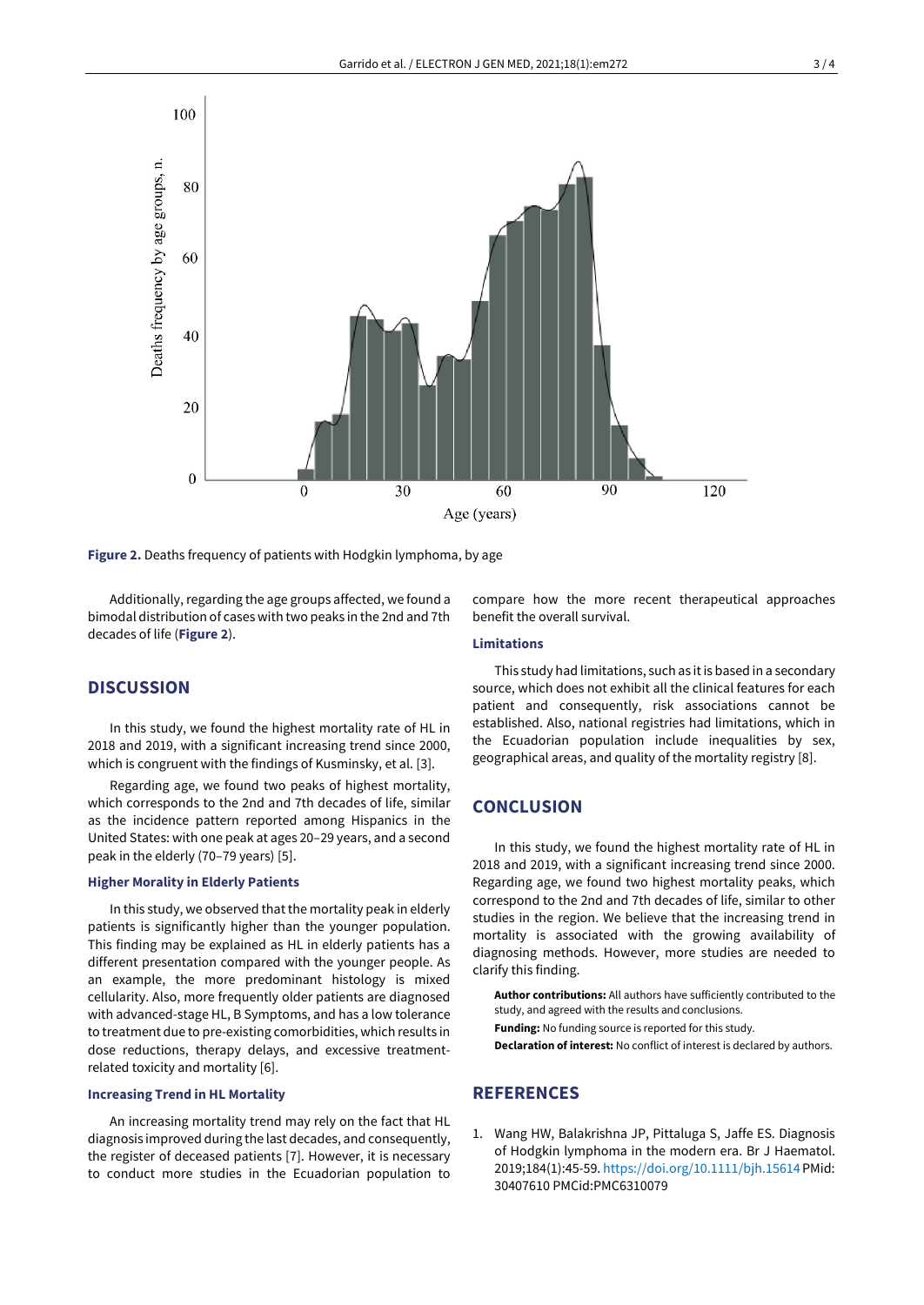

**Figure 2.** Deaths frequency of patients with Hodgkin lymphoma, by age

Additionally, regarding the age groups affected, we found a bimodal distribution of cases with two peaks in the 2nd and 7th decades of life (**Figure 2**).

compare how the more recent therapeutical approaches benefit the overall survival.

## **Limitations**

## **DISCUSSION**

In this study, we found the highest mortality rate of HL in 2018 and 2019, with a significant increasing trend since 2000, which is congruent with the findings of Kusminsky, et al. [3].

Regarding age, we found two peaks of highest mortality, which corresponds to the 2nd and 7th decades of life, similar as the incidence pattern reported among Hispanics in the United States: with one peak at ages 20–29 years, and a second peak in the elderly (70–79 years) [5].

#### **Higher Morality in Elderly Patients**

In this study, we observed that the mortality peak in elderly patients is significantly higher than the younger population. This finding may be explained as HL in elderly patients has a different presentation compared with the younger people. As an example, the more predominant histology is mixed cellularity. Also, more frequently older patients are diagnosed with advanced-stage HL, B Symptoms, and has a low tolerance to treatment due to pre-existing comorbidities, which results in dose reductions, therapy delays, and excessive treatmentrelated toxicity and mortality [6].

#### **Increasing Trend in HL Mortality**

An increasing mortality trend may rely on the fact that HL diagnosis improved during the last decades, and consequently, the register of deceased patients [7]. However, it is necessary to conduct more studies in the Ecuadorian population to

This study had limitations, such as it is based in a secondary source, which does not exhibit all the clinical features for each patient and consequently, risk associations cannot be established. Also, national registries had limitations, which in the Ecuadorian population include inequalities by sex, geographical areas, and quality of the mortality registry [8].

### **CONCLUSION**

In this study, we found the highest mortality rate of HL in 2018 and 2019, with a significant increasing trend since 2000. Regarding age, we found two highest mortality peaks, which correspond to the 2nd and 7th decades of life, similar to other studies in the region. We believe that the increasing trend in mortality is associated with the growing availability of diagnosing methods. However, more studies are needed to clarify this finding.

**Author contributions:** All authors have sufficiently contributed to the study, and agreed with the results and conclusions. **Funding:** No funding source is reported for this study. **Declaration of interest:** No conflict of interest is declared by authors.

## **REFERENCES**

1. Wang HW, Balakrishna JP, Pittaluga S, Jaffe ES. Diagnosis of Hodgkin lymphoma in the modern era. Br J Haematol. 2019;184(1):45-59. <https://doi.org/10.1111/bjh.15614> PMid: 30407610 PMCid:PMC6310079